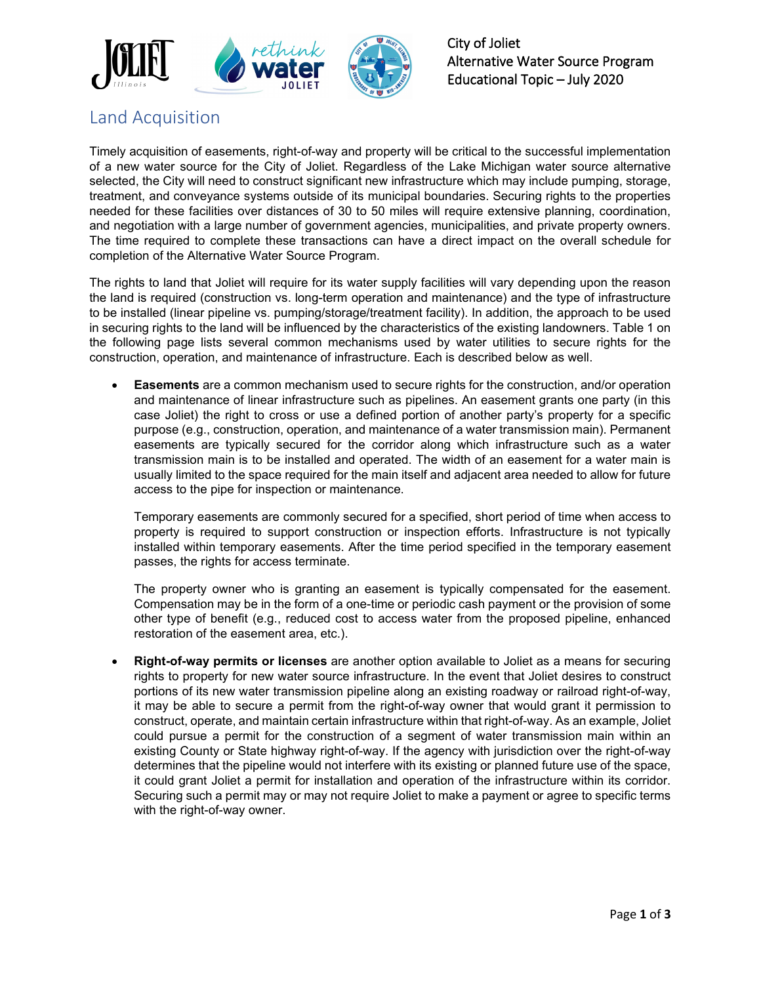

## Land Acquisition

Timely acquisition of easements, right-of-way and property will be critical to the successful implementation of a new water source for the City of Joliet. Regardless of the Lake Michigan water source alternative selected, the City will need to construct significant new infrastructure which may include pumping, storage, treatment, and conveyance systems outside of its municipal boundaries. Securing rights to the properties needed for these facilities over distances of 30 to 50 miles will require extensive planning, coordination, and negotiation with a large number of government agencies, municipalities, and private property owners. The time required to complete these transactions can have a direct impact on the overall schedule for completion of the Alternative Water Source Program.

The rights to land that Joliet will require for its water supply facilities will vary depending upon the reason the land is required (construction vs. long-term operation and maintenance) and the type of infrastructure to be installed (linear pipeline vs. pumping/storage/treatment facility). In addition, the approach to be used in securing rights to the land will be influenced by the characteristics of the existing landowners. Table 1 on the following page lists several common mechanisms used by water utilities to secure rights for the construction, operation, and maintenance of infrastructure. Each is described below as well.

• **Easements** are a common mechanism used to secure rights for the construction, and/or operation and maintenance of linear infrastructure such as pipelines. An easement grants one party (in this case Joliet) the right to cross or use a defined portion of another party's property for a specific purpose (e.g., construction, operation, and maintenance of a water transmission main). Permanent easements are typically secured for the corridor along which infrastructure such as a water transmission main is to be installed and operated. The width of an easement for a water main is usually limited to the space required for the main itself and adjacent area needed to allow for future access to the pipe for inspection or maintenance.

Temporary easements are commonly secured for a specified, short period of time when access to property is required to support construction or inspection efforts. Infrastructure is not typically installed within temporary easements. After the time period specified in the temporary easement passes, the rights for access terminate.

The property owner who is granting an easement is typically compensated for the easement. Compensation may be in the form of a one-time or periodic cash payment or the provision of some other type of benefit (e.g., reduced cost to access water from the proposed pipeline, enhanced restoration of the easement area, etc.).

• **Right-of-way permits or licenses** are another option available to Joliet as a means for securing rights to property for new water source infrastructure. In the event that Joliet desires to construct portions of its new water transmission pipeline along an existing roadway or railroad right-of-way, it may be able to secure a permit from the right-of-way owner that would grant it permission to construct, operate, and maintain certain infrastructure within that right-of-way. As an example, Joliet could pursue a permit for the construction of a segment of water transmission main within an existing County or State highway right-of-way. If the agency with jurisdiction over the right-of-way determines that the pipeline would not interfere with its existing or planned future use of the space, it could grant Joliet a permit for installation and operation of the infrastructure within its corridor. Securing such a permit may or may not require Joliet to make a payment or agree to specific terms with the right-of-way owner.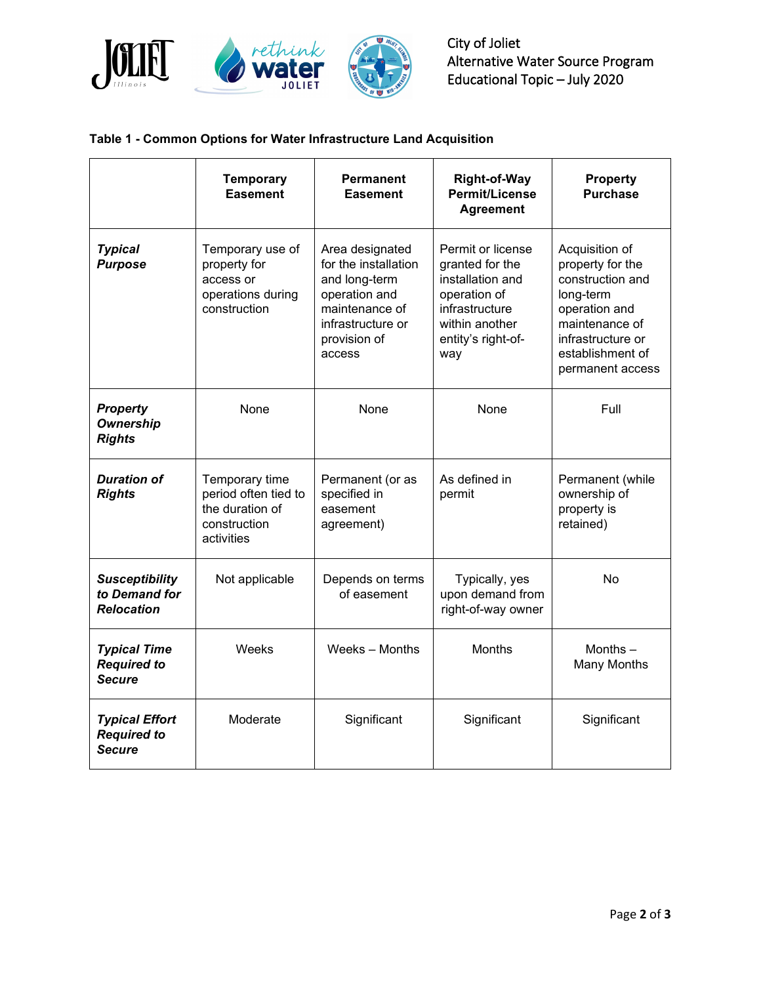

City of Joliet Alternative Water Source Program Educational Topic – July 2020

## **Table 1 - Common Options for Water Infrastructure Land Acquisition**

|                                                              | <b>Temporary</b><br><b>Easement</b>                                                     | <b>Permanent</b><br><b>Easement</b>                                                                                                        | <b>Right-of-Way</b><br><b>Permit/License</b><br><b>Agreement</b>                                                                          | <b>Property</b><br><b>Purchase</b>                                                                                                                                  |
|--------------------------------------------------------------|-----------------------------------------------------------------------------------------|--------------------------------------------------------------------------------------------------------------------------------------------|-------------------------------------------------------------------------------------------------------------------------------------------|---------------------------------------------------------------------------------------------------------------------------------------------------------------------|
| <b>Typical</b><br><b>Purpose</b>                             | Temporary use of<br>property for<br>access or<br>operations during<br>construction      | Area designated<br>for the installation<br>and long-term<br>operation and<br>maintenance of<br>infrastructure or<br>provision of<br>access | Permit or license<br>granted for the<br>installation and<br>operation of<br>infrastructure<br>within another<br>entity's right-of-<br>way | Acquisition of<br>property for the<br>construction and<br>long-term<br>operation and<br>maintenance of<br>infrastructure or<br>establishment of<br>permanent access |
| <b>Property</b><br><b>Ownership</b><br><b>Rights</b>         | None                                                                                    | None                                                                                                                                       | None                                                                                                                                      | Full                                                                                                                                                                |
| <b>Duration of</b><br><b>Rights</b>                          | Temporary time<br>period often tied to<br>the duration of<br>construction<br>activities | Permanent (or as<br>specified in<br>easement<br>agreement)                                                                                 | As defined in<br>permit                                                                                                                   | Permanent (while<br>ownership of<br>property is<br>retained)                                                                                                        |
| <b>Susceptibility</b><br>to Demand for<br><b>Relocation</b>  | Not applicable                                                                          | Depends on terms<br>of easement                                                                                                            | Typically, yes<br>upon demand from<br>right-of-way owner                                                                                  | No                                                                                                                                                                  |
| <b>Typical Time</b><br><b>Required to</b><br><b>Secure</b>   | Weeks                                                                                   | Weeks - Months                                                                                                                             | <b>Months</b>                                                                                                                             | Months $-$<br><b>Many Months</b>                                                                                                                                    |
| <b>Typical Effort</b><br><b>Required to</b><br><b>Secure</b> | Moderate                                                                                | Significant                                                                                                                                | Significant                                                                                                                               | Significant                                                                                                                                                         |